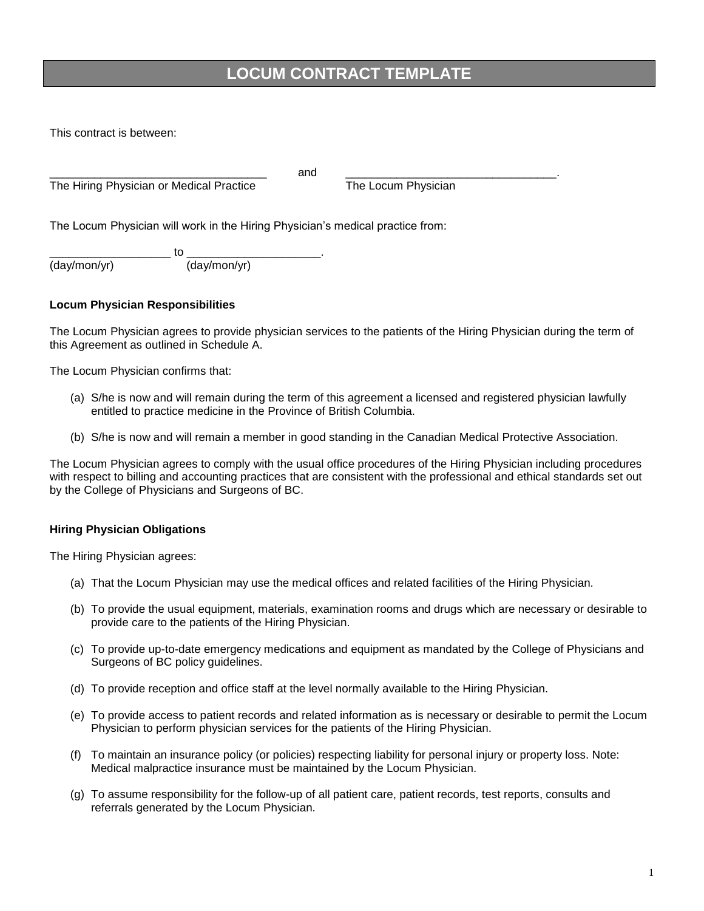## **LOCUM CONTRACT TEMPLATE**

This contract is between:

\_\_\_\_\_\_\_\_\_\_\_\_\_\_\_\_\_\_\_\_\_\_\_\_\_\_\_\_\_\_\_\_\_\_ and \_\_\_\_\_\_\_\_\_\_\_\_\_\_\_\_\_\_\_\_\_\_\_\_\_\_\_\_\_\_\_\_\_. The Hiring Physician or Medical Practice The Locum Physician

The Locum Physician will work in the Hiring Physician's medical practice from:

\_\_\_\_\_\_\_\_\_\_\_\_\_\_\_\_\_\_\_ to \_\_\_\_\_\_\_\_\_\_\_\_\_\_\_\_\_\_\_\_\_. (day/mon/yr) (day/mon/yr)

#### **Locum Physician Responsibilities**

The Locum Physician agrees to provide physician services to the patients of the Hiring Physician during the term of this Agreement as outlined in Schedule A.

The Locum Physician confirms that:

- (a) S/he is now and will remain during the term of this agreement a licensed and registered physician lawfully entitled to practice medicine in the Province of British Columbia.
- (b) S/he is now and will remain a member in good standing in the Canadian Medical Protective Association.

The Locum Physician agrees to comply with the usual office procedures of the Hiring Physician including procedures with respect to billing and accounting practices that are consistent with the professional and ethical standards set out by the College of Physicians and Surgeons of BC.

#### **Hiring Physician Obligations**

The Hiring Physician agrees:

- (a) That the Locum Physician may use the medical offices and related facilities of the Hiring Physician.
- (b) To provide the usual equipment, materials, examination rooms and drugs which are necessary or desirable to provide care to the patients of the Hiring Physician.
- (c) To provide up-to-date emergency medications and equipment as mandated by the College of Physicians and Surgeons of BC policy guidelines.
- (d) To provide reception and office staff at the level normally available to the Hiring Physician.
- (e) To provide access to patient records and related information as is necessary or desirable to permit the Locum Physician to perform physician services for the patients of the Hiring Physician.
- (f) To maintain an insurance policy (or policies) respecting liability for personal injury or property loss. Note: Medical malpractice insurance must be maintained by the Locum Physician.
- (g) To assume responsibility for the follow-up of all patient care, patient records, test reports, consults and referrals generated by the Locum Physician.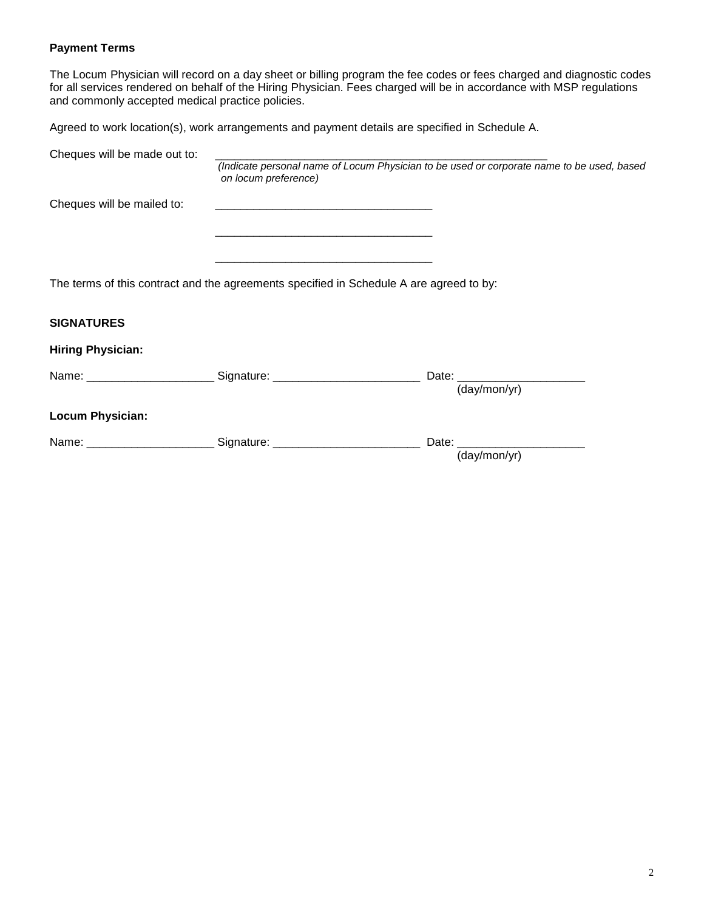### **Payment Terms**

The Locum Physician will record on a day sheet or billing program the fee codes or fees charged and diagnostic codes for all services rendered on behalf of the Hiring Physician. Fees charged will be in accordance with MSP regulations and commonly accepted medical practice policies.

Agreed to work location(s), work arrangements and payment details are specified in Schedule A.

| Cheques will be made out to: |                                                                                                                                                                                                                               |                                                                                                                                                                                                                                                |
|------------------------------|-------------------------------------------------------------------------------------------------------------------------------------------------------------------------------------------------------------------------------|------------------------------------------------------------------------------------------------------------------------------------------------------------------------------------------------------------------------------------------------|
|                              | on locum preference)                                                                                                                                                                                                          | (Indicate personal name of Locum Physician to be used or corporate name to be used, based                                                                                                                                                      |
| Cheques will be mailed to:   |                                                                                                                                                                                                                               |                                                                                                                                                                                                                                                |
|                              | and the state of the state of the state of the state of the state of the state of the state of the state of the                                                                                                               |                                                                                                                                                                                                                                                |
|                              | The terms of this contract and the agreements specified in Schedule A are agreed to by:                                                                                                                                       |                                                                                                                                                                                                                                                |
| <b>SIGNATURES</b>            |                                                                                                                                                                                                                               |                                                                                                                                                                                                                                                |
| <b>Hiring Physician:</b>     |                                                                                                                                                                                                                               |                                                                                                                                                                                                                                                |
|                              | Name: Name: Name: Name: Name: Name: Name: Name: Name: Name: Name: Name: Name: Name: Name: Name: Name: Name: Name: Name: Name: Name: Name: Name: Name: Name: Name: Name: Name: Name: Name: Name: Name: Name: Name: Name: Name: | Date: the contract of the contract of the contract of the contract of the contract of the contract of the contract of the contract of the contract of the contract of the contract of the contract of the contract of the cont<br>(day/mon/yr) |
| <b>Locum Physician:</b>      |                                                                                                                                                                                                                               |                                                                                                                                                                                                                                                |
|                              |                                                                                                                                                                                                                               |                                                                                                                                                                                                                                                |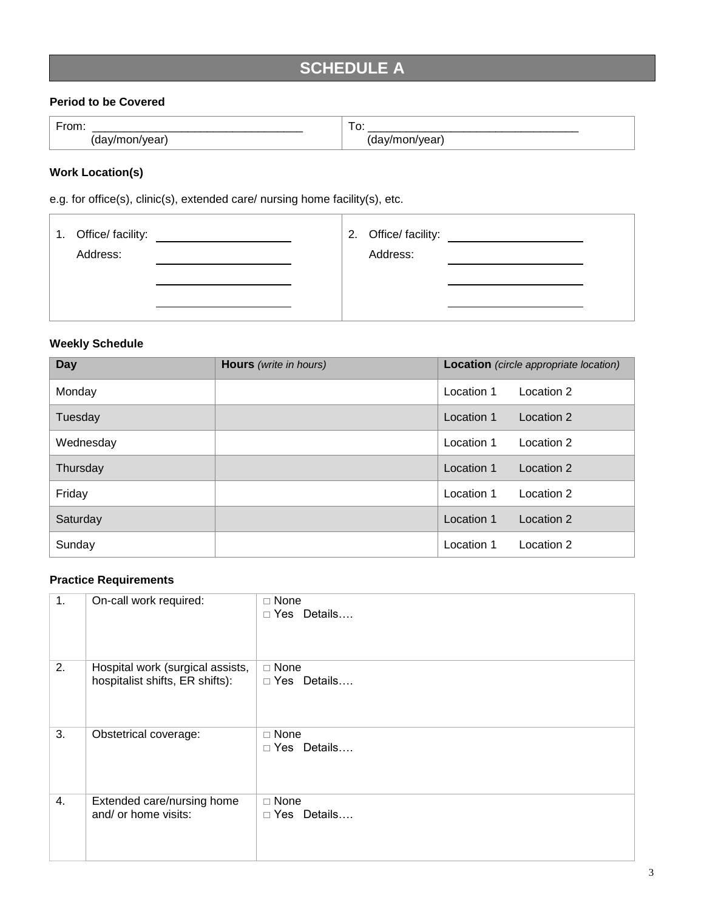# **SCHEDULE A**

#### **Period to be Covered**

|   | <b>Contract Contract Contract</b><br>-<br>ັ |
|---|---------------------------------------------|
| ີ | ີ<br>. .                                    |

## **Work Location(s)**

e.g. for office(s), clinic(s), extended care/ nursing home facility(s), etc.

|  |  | 1. Office/ facility:<br>Address: |  |  | 2. Office/ facility:<br>Address: |  |  |
|--|--|----------------------------------|--|--|----------------------------------|--|--|
|--|--|----------------------------------|--|--|----------------------------------|--|--|

### **Weekly Schedule**

| Day       | <b>Hours</b> (write in hours) | Location (circle appropriate location) |
|-----------|-------------------------------|----------------------------------------|
| Monday    |                               | Location 2<br>Location 1               |
| Tuesday   |                               | Location 1<br>Location 2               |
| Wednesday |                               | Location 1<br>Location 2               |
| Thursday  |                               | Location 2<br>Location 1               |
| Friday    |                               | Location 2<br>Location 1               |
| Saturday  |                               | Location 1<br>Location 2               |
| Sunday    |                               | Location 1<br>Location 2               |

### **Practice Requirements**

| 1. | On-call work required:                                              | $\Box$ None<br>$\Box$ Yes Details |
|----|---------------------------------------------------------------------|-----------------------------------|
| 2. | Hospital work (surgical assists,<br>hospitalist shifts, ER shifts): | $\Box$ None<br>□ Yes Details      |
| 3. | Obstetrical coverage:                                               | $\Box$ None<br>□ Yes Details      |
| 4. | Extended care/nursing home<br>and/ or home visits:                  | $\Box$ None<br>□ Yes Details      |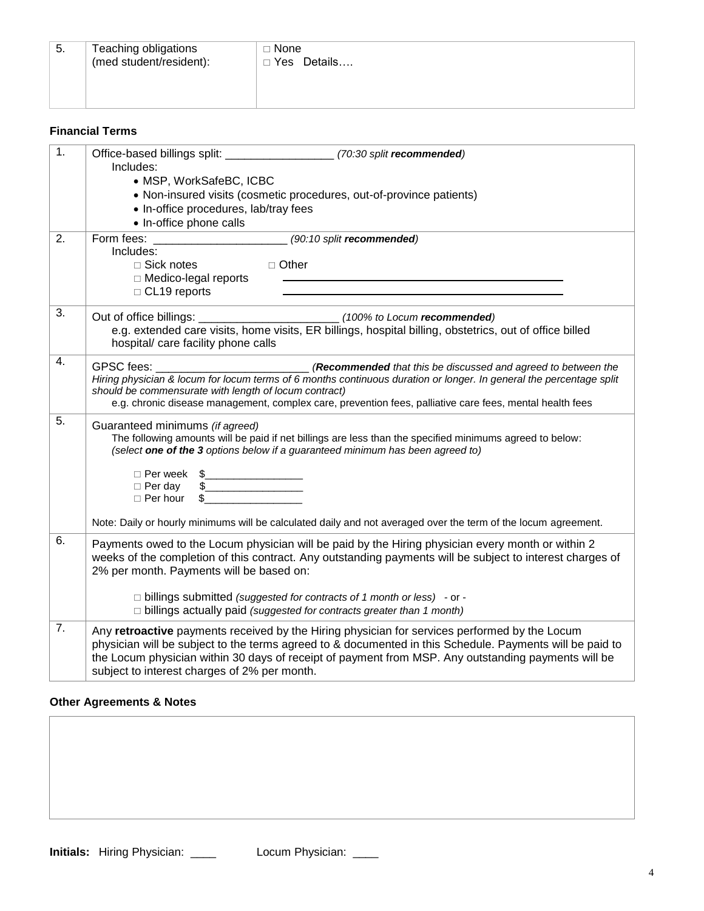| 5. | Teaching obligations<br>(med student/resident): | $\Box$ None<br>□ Yes Details |
|----|-------------------------------------------------|------------------------------|
|----|-------------------------------------------------|------------------------------|

## **Financial Terms**

| $\overline{1}$ . | Office-based billings split: _______________________ (70:30 split recommended)<br>Includes:                                                                                                                                                                                                                                                                                    |
|------------------|--------------------------------------------------------------------------------------------------------------------------------------------------------------------------------------------------------------------------------------------------------------------------------------------------------------------------------------------------------------------------------|
|                  | • MSP, WorkSafeBC, ICBC<br>• Non-insured visits (cosmetic procedures, out-of-province patients)<br>• In-office procedures, lab/tray fees                                                                                                                                                                                                                                       |
|                  | • In-office phone calls                                                                                                                                                                                                                                                                                                                                                        |
| 2.               | Form fees:<br>________________________________(90:10 split recommended)<br>Includes:<br>$\Box$ Sick notes<br>$\Box$ Other<br>$\Box$ Medico-legal reports<br>$\Box$ CL19 reports                                                                                                                                                                                                |
| 3.               | e.g. extended care visits, home visits, ER billings, hospital billing, obstetrics, out of office billed<br>hospital/ care facility phone calls                                                                                                                                                                                                                                 |
| $\overline{4}$ . | <b>GPSC</b> fees:<br>(Recommended that this be discussed and agreed to between the<br>Hiring physician & locum for locum terms of 6 months continuous duration or longer. In general the percentage split<br>should be commensurate with length of locum contract)<br>e.g. chronic disease management, complex care, prevention fees, palliative care fees, mental health fees |
| 5.               | Guaranteed minimums (if agreed)<br>The following amounts will be paid if net billings are less than the specified minimums agreed to below:<br>(select one of the 3 options below if a guaranteed minimum has been agreed to)                                                                                                                                                  |
|                  | $\Box$ Per week<br>$\frac{1}{2}$<br>$\frac{1}{2}$<br>$\Box$ Per day<br>$\Box$ Per hour<br>\$                                                                                                                                                                                                                                                                                   |
|                  | Note: Daily or hourly minimums will be calculated daily and not averaged over the term of the locum agreement.                                                                                                                                                                                                                                                                 |
| 6.               | Payments owed to the Locum physician will be paid by the Hiring physician every month or within 2<br>weeks of the completion of this contract. Any outstanding payments will be subject to interest charges of<br>2% per month. Payments will be based on:                                                                                                                     |
|                  | $\Box$ billings submitted (suggested for contracts of 1 month or less) - or -<br>$\Box$ billings actually paid (suggested for contracts greater than 1 month)                                                                                                                                                                                                                  |
| 7.               | Any retroactive payments received by the Hiring physician for services performed by the Locum<br>physician will be subject to the terms agreed to & documented in this Schedule. Payments will be paid to<br>the Locum physician within 30 days of receipt of payment from MSP. Any outstanding payments will be<br>subject to interest charges of 2% per month.               |

### **Other Agreements & Notes**